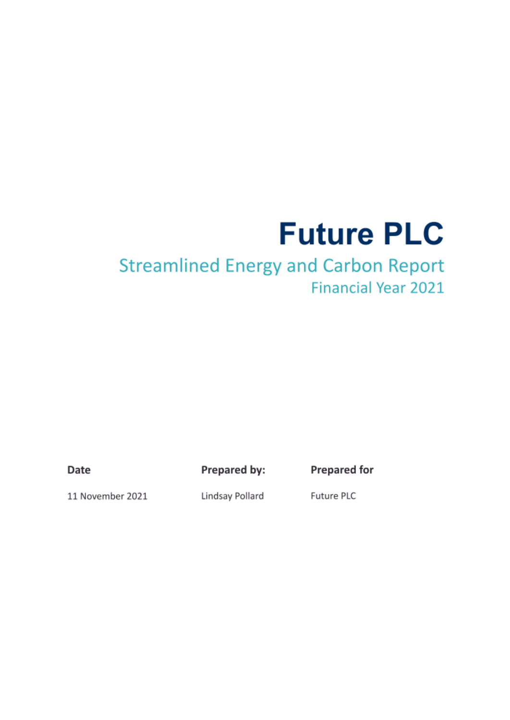## **Future PLC**

### **Streamlined Energy and Carbon Report Financial Year 2021**

Date

Prepared by:

**Prepared for** 

11 November 2021

Lindsay Pollard

Future PLC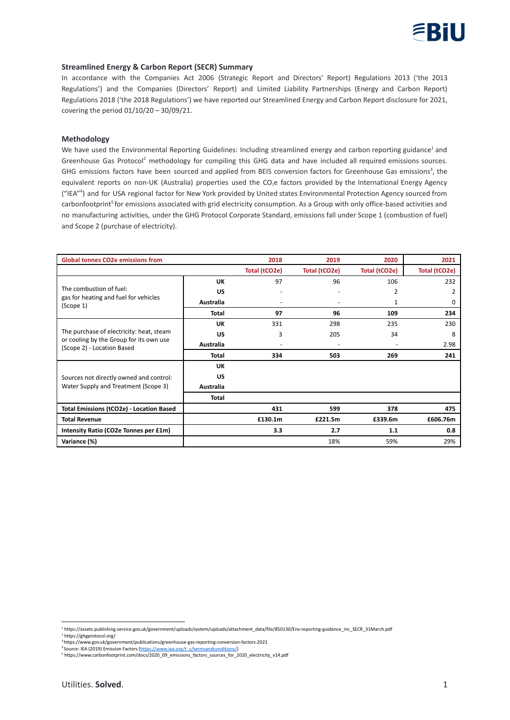

#### **Streamlined Energy & Carbon Report (SECR) Summary**

In accordance with the Companies Act 2006 (Strategic Report and Directors' Report) Regulations 2013 ('the 2013 Regulations') and the Companies (Directors' Report) and Limited Liability Partnerships (Energy and Carbon Report) Regulations 2018 ('the 2018 Regulations') we have reported our Streamlined Energy and Carbon Report disclosure for 2021, covering the period 01/10/20 – 30/09/21.

#### **Methodology**

We have used the Environmental Reporting Guidelines: Including streamlined energy and carbon reporting guidance<sup>1</sup> and Greenhouse Gas Protocol<sup>2</sup> methodology for compiling this GHG data and have included all required emissions sources. GHG emissions factors have been sourced and applied from BEIS conversion factors for Greenhouse Gas emissions<sup>3</sup>, the equivalent reports on non-UK (Australia) properties used the CO<sub>2</sub>e factors provided by the International Energy Agency ("IEA" 4 ) and for USA regional factor for New York provided by United states Environmental Protection Agency sourced from carbonfootprint<sup>5</sup> for emissions associated with grid electricity consumption. As a Group with only office-based activities and no manufacturing activities, under the GHG Protocol Corporate Standard, emissions fall under Scope 1 (combustion of fuel) and Scope 2 (purchase of electricity).

| <b>Global tonnes CO2e emissions from</b>                                                                          |              | 2018          | 2019                     | 2020          | 2021          |
|-------------------------------------------------------------------------------------------------------------------|--------------|---------------|--------------------------|---------------|---------------|
|                                                                                                                   |              | Total (tCO2e) | Total (tCO2e)            | Total (tCO2e) | Total (tCO2e) |
| The combustion of fuel:<br>gas for heating and fuel for vehicles<br>(Scope 1)                                     | UK           | 97            | 96                       | 106           | 232           |
|                                                                                                                   | US           |               |                          | 2             | 2             |
|                                                                                                                   | Australia    |               | $\overline{\phantom{a}}$ | 1             | $\Omega$      |
|                                                                                                                   | <b>Total</b> | 97            | 96                       | 109           | 234           |
| The purchase of electricity: heat, steam<br>or cooling by the Group for its own use<br>(Scope 2) - Location Based | UK           | 331           | 298                      | 235           | 230           |
|                                                                                                                   | US           | 3             | 205                      | 34            | 8             |
|                                                                                                                   | Australia    |               | $\overline{\phantom{a}}$ |               | 2.98          |
|                                                                                                                   | <b>Total</b> | 334           | 503                      | 269           | 241           |
| Sources not directly owned and control:<br>Water Supply and Treatment (Scope 3)                                   | UK           |               |                          |               |               |
|                                                                                                                   | US           |               |                          |               |               |
|                                                                                                                   | Australia    |               |                          |               |               |
|                                                                                                                   | <b>Total</b> |               |                          |               |               |
| <b>Total Emissions (tCO2e) - Location Based</b>                                                                   |              | 431           | 599                      | 378           | 475           |
| <b>Total Revenue</b>                                                                                              |              | £130.1m       | £221.5m                  | £339.6m       | £606.76m      |
| Intensity Ratio (CO2e Tonnes per £1m)                                                                             |              | 3.3           | 2.7                      | 1.1           | 0.8           |
| Variance (%)                                                                                                      |              |               | 18%                      | 59%           | 29%           |

<sup>2</sup> https://ghgprotocol.org/ <sup>1</sup> https://assets.publishing.service.gov.uk/government/uploads/system/uploads/attachment\_data/file/850130/Env-reporting-guidance\_inc\_SECR\_31March.pdf

<sup>3</sup> https://www.gov.uk/government/publications/greenhouse-gas-reporting-conversion-factors-2021

<sup>4</sup> Source: IEA (2019) Emission Factors (https://www.iea.org/t\_c/termsandconditions/)

<sup>5</sup> https://www.carbonfootprint.com/docs/2020\_09\_emissions\_factors\_sources\_for\_2020\_electricity\_v14.pdf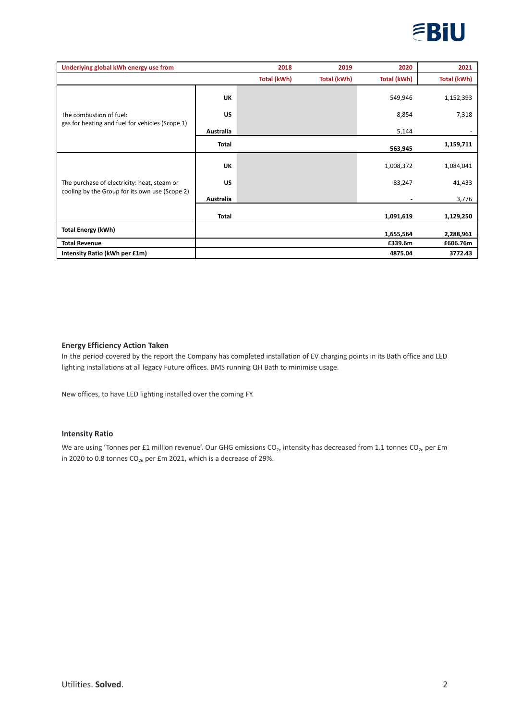

| Underlying global kWh energy use from                                                         |              | 2018        | 2019        | 2020        | 2021        |
|-----------------------------------------------------------------------------------------------|--------------|-------------|-------------|-------------|-------------|
|                                                                                               |              | Total (kWh) | Total (kWh) | Total (kWh) | Total (kWh) |
| The combustion of fuel:<br>gas for heating and fuel for vehicles (Scope 1)                    | <b>UK</b>    |             |             | 549,946     | 1,152,393   |
|                                                                                               | <b>US</b>    |             |             | 8,854       | 7,318       |
|                                                                                               | Australia    |             |             | 5,144       |             |
|                                                                                               | <b>Total</b> |             |             | 563,945     | 1,159,711   |
| The purchase of electricity: heat, steam or<br>cooling by the Group for its own use (Scope 2) | <b>UK</b>    |             |             | 1,008,372   | 1,084,041   |
|                                                                                               | <b>US</b>    |             |             | 83,247      | 41,433      |
|                                                                                               | Australia    |             |             |             | 3,776       |
|                                                                                               | <b>Total</b> |             |             | 1,091,619   | 1,129,250   |
| <b>Total Energy (kWh)</b>                                                                     |              |             |             | 1,655,564   | 2,288,961   |
| <b>Total Revenue</b>                                                                          |              |             |             | £339.6m     | £606.76m    |
| Intensity Ratio (kWh per £1m)                                                                 |              |             |             | 4875.04     | 3772.43     |

#### **Energy Efficiency Action Taken**

In the period covered by the report the Company has completed installation of EV charging points in its Bath office and LED lighting installations at all legacy Future offices. BMS running QH Bath to minimise usage.

New offices, to have LED lighting installed over the coming FY.

#### **Intensity Ratio**

We are using 'Tonnes per £1 million revenue'. Our GHG emissions CO $_{\rm 2e}$  intensity has decreased from 1.1 tonnes CO $_{\rm 2e}$  per £m in 2020 to 0.8 tonnes  $CO_{2e}$  per £m 2021, which is a decrease of 29%.